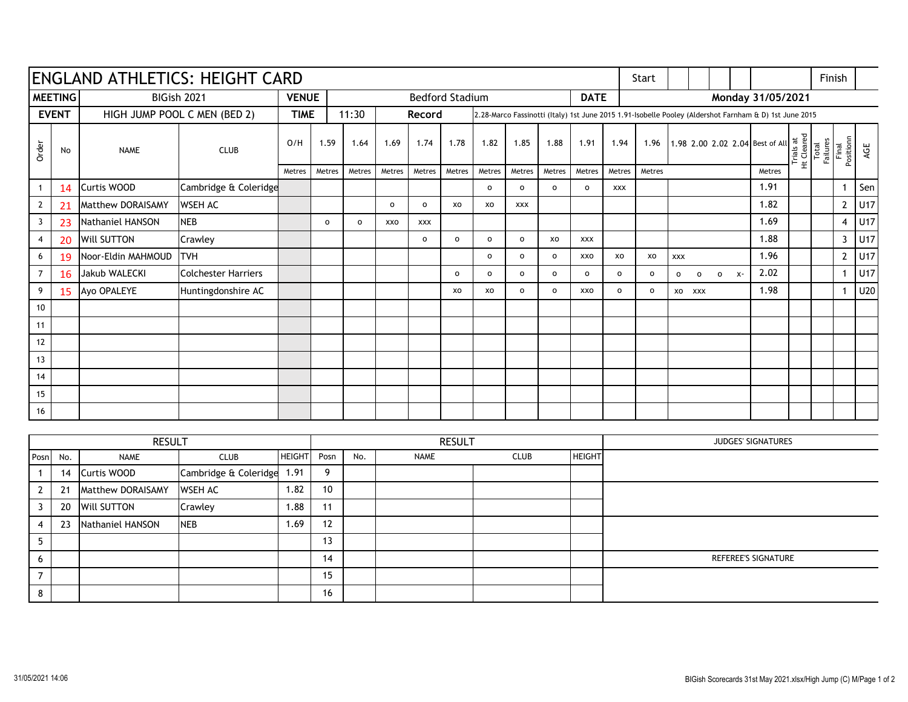| <b>ENGLAND ATHLETICS: HEIGHT CARD</b> |     |                              |                            |               |                     |                                       |                |                |                     |              |                     |                     | Start          |                                                                                                        |                                         |                     |                     |  |            |        | Finish                                       |                    |                |                 |
|---------------------------------------|-----|------------------------------|----------------------------|---------------|---------------------|---------------------------------------|----------------|----------------|---------------------|--------------|---------------------|---------------------|----------------|--------------------------------------------------------------------------------------------------------|-----------------------------------------|---------------------|---------------------|--|------------|--------|----------------------------------------------|--------------------|----------------|-----------------|
| <b>MEETING</b>                        |     | BIGish 2021                  |                            | <b>VENUE</b>  |                     | <b>Bedford Stadium</b><br><b>DATE</b> |                |                |                     |              |                     |                     |                | Monday 31/05/2021                                                                                      |                                         |                     |                     |  |            |        |                                              |                    |                |                 |
| <b>EVENT</b>                          |     | HIGH JUMP POOL C MEN (BED 2) |                            | <b>TIME</b>   |                     | 11:30                                 |                | Record         |                     |              |                     |                     |                | 2.28-Marco Fassinotti (Italy) 1st June 2015 1.91-Isobelle Pooley (Aldershot Farnham & D) 1st June 2015 |                                         |                     |                     |  |            |        |                                              |                    |                |                 |
| Order                                 | No  | <b>NAME</b>                  | <b>CLUB</b>                | O/H           | 1.59                | 1.64                                  | 1.69           | 1.74           | 1.78                | 1.82         | 1.85                | 1.88                | 1.91           | 1.94                                                                                                   | 1.96<br>1.98 2.00 2.02 2.04 Best of All |                     |                     |  |            |        | Trials at<br>Ht Cleared<br>Total<br>Failures | Final<br>Positionn | AGE            |                 |
|                                       |     |                              |                            | Metres        | Metres              | Metres                                | Metres         | Metres         | Metres              | Metres       | Metres              | Metres              | Metres         | Metres                                                                                                 | Metres                                  |                     |                     |  |            | Metres |                                              |                    |                |                 |
| $\mathbf{1}$                          | 14  | Curtis WOOD                  | Cambridge & Coleridge      |               |                     |                                       |                |                |                     | $\mathsf{o}$ | $\mathsf{o}\xspace$ | $\mathsf{o}\,$      | $\mathsf{o}\,$ | <b>XXX</b>                                                                                             |                                         |                     |                     |  |            | 1.91   |                                              |                    | $\mathbf 1$    | Sen             |
| $\overline{2}$                        | 21  | Matthew DORAISAMY            | <b>WSEH AC</b>             |               |                     |                                       | $\mathsf{o}\,$ | $\mathsf{o}\,$ | xo                  | XO           | <b>XXX</b>          |                     |                |                                                                                                        |                                         |                     |                     |  |            | 1.82   |                                              |                    | $2^{\circ}$    | U17             |
| $\overline{3}$                        | 23  | Nathaniel HANSON             | <b>NEB</b>                 |               | $\mathsf{o}\xspace$ | $\mathbf{o}$                          | XXO            | <b>XXX</b>     |                     |              |                     |                     |                |                                                                                                        |                                         |                     |                     |  |            | 1.69   |                                              |                    | $\overline{4}$ | U17             |
| $\overline{4}$                        | 20  | Will SUTTON                  | Crawley                    |               |                     |                                       |                | $\mathsf{o}\,$ | $\mathsf{o}\xspace$ | $\mathsf{o}$ | $\mathsf{o}\,$      | XO                  | <b>XXX</b>     |                                                                                                        |                                         |                     |                     |  |            | 1.88   |                                              |                    | 3              | U17             |
| 6                                     | 19  | Noor-Eldin MAHMOUD           | <b>ITVH</b>                |               |                     |                                       |                |                |                     | $\mathbf{o}$ | $\mathbf{o}$        | $\mathsf{o}$        | XXO            | XO                                                                                                     | XO                                      | XXX                 |                     |  |            | 1.96   |                                              |                    | $\mathbf{2}$   | U17             |
| $\overline{7}$                        | 16  | Jakub WALECKI                | <b>Colchester Harriers</b> |               |                     |                                       |                |                | $\mathbf{o}$        | $\mathsf{o}$ | $\mathsf{o}\xspace$ | $\mathsf{o}\xspace$ | $\mathsf{o}\,$ | $\mathsf{o}\,$                                                                                         | $\mathbf{o}$                            | $\mathsf{o}\xspace$ | $\mathsf{o}\xspace$ |  | $0 \times$ | 2.02   |                                              |                    | $\mathbf 1$    | U <sub>17</sub> |
| 9                                     | 15  | Ayo OPALEYE                  | Huntingdonshire AC         |               |                     |                                       |                |                | XO                  | XO           | $\mathsf{o}\,$      | $\mathsf{o}\,$      | <b>XXO</b>     | $\mathsf{o}\xspace$                                                                                    | $\mathsf{o}\,$                          |                     | XO XXX              |  |            | 1.98   |                                              |                    | $\mathbf{1}$   | <b>U20</b>      |
| 10                                    |     |                              |                            |               |                     |                                       |                |                |                     |              |                     |                     |                |                                                                                                        |                                         |                     |                     |  |            |        |                                              |                    |                |                 |
| 11                                    |     |                              |                            |               |                     |                                       |                |                |                     |              |                     |                     |                |                                                                                                        |                                         |                     |                     |  |            |        |                                              |                    |                |                 |
| 12                                    |     |                              |                            |               |                     |                                       |                |                |                     |              |                     |                     |                |                                                                                                        |                                         |                     |                     |  |            |        |                                              |                    |                |                 |
| 13                                    |     |                              |                            |               |                     |                                       |                |                |                     |              |                     |                     |                |                                                                                                        |                                         |                     |                     |  |            |        |                                              |                    |                |                 |
| 14                                    |     |                              |                            |               |                     |                                       |                |                |                     |              |                     |                     |                |                                                                                                        |                                         |                     |                     |  |            |        |                                              |                    |                |                 |
| 15                                    |     |                              |                            |               |                     |                                       |                |                |                     |              |                     |                     |                |                                                                                                        |                                         |                     |                     |  |            |        |                                              |                    |                |                 |
| 16                                    |     |                              |                            |               |                     |                                       |                |                |                     |              |                     |                     |                |                                                                                                        |                                         |                     |                     |  |            |        |                                              |                    |                |                 |
|                                       |     |                              |                            |               |                     |                                       |                |                |                     |              |                     |                     |                |                                                                                                        |                                         |                     |                     |  |            |        |                                              |                    |                |                 |
|                                       |     | <b>RESULT</b>                |                            |               | <b>RESULT</b>       |                                       |                |                |                     |              |                     | JUDGES' SIGNATURES  |                |                                                                                                        |                                         |                     |                     |  |            |        |                                              |                    |                |                 |
| Posn                                  | No. | <b>NAME</b>                  | <b>CLUB</b>                | <b>HEIGHT</b> | Posn                | No.                                   |                | <b>NAME</b>    |                     | <b>CLUB</b>  |                     |                     | <b>HEIGHT</b>  |                                                                                                        |                                         |                     |                     |  |            |        |                                              |                    |                |                 |
| $\mathbf{1}$                          | 14  | Curtis WOOD                  | Cambridge & Coleridge      | 1.91          | 9                   |                                       |                |                |                     |              |                     |                     |                |                                                                                                        |                                         |                     |                     |  |            |        |                                              |                    |                |                 |
| $\overline{2}$                        | 21  | Matthew DORAISAMY            | <b>WSEH AC</b>             | 1.82          | 10                  |                                       |                |                |                     |              |                     |                     |                |                                                                                                        |                                         |                     |                     |  |            |        |                                              |                    |                |                 |
| 3                                     | 20  | Will SUTTON                  | Crawley                    | 1.88          | 11                  |                                       |                |                |                     |              |                     |                     |                |                                                                                                        |                                         |                     |                     |  |            |        |                                              |                    |                |                 |
| $\overline{4}$                        | 23  | Nathaniel HANSON             | <b>NEB</b>                 | 1.69          | 12                  |                                       |                |                |                     |              |                     |                     |                |                                                                                                        |                                         |                     |                     |  |            |        |                                              |                    |                |                 |
| 5                                     |     |                              |                            |               | 13                  |                                       |                |                |                     |              |                     |                     |                |                                                                                                        |                                         |                     |                     |  |            |        |                                              |                    |                |                 |
| 6                                     |     |                              |                            |               | 14                  |                                       |                |                |                     |              |                     |                     |                | REFEREE'S SIGNATURE                                                                                    |                                         |                     |                     |  |            |        |                                              |                    |                |                 |
| $\overline{7}$                        |     |                              |                            |               | 15                  |                                       |                |                |                     |              |                     |                     |                |                                                                                                        |                                         |                     |                     |  |            |        |                                              |                    |                |                 |
| 8                                     |     |                              |                            |               | 16                  |                                       |                |                |                     |              |                     |                     |                |                                                                                                        |                                         |                     |                     |  |            |        |                                              |                    |                |                 |